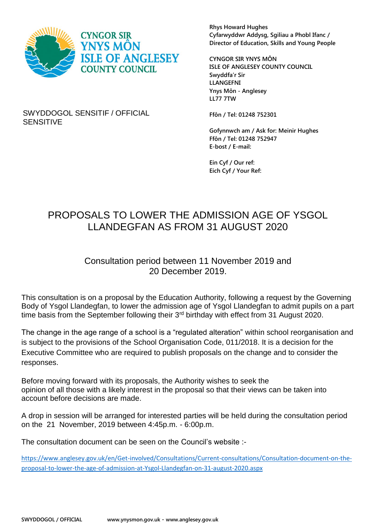

**Rhys Howard Hughes Cyfarwyddwr Addysg, Sgiliau a Phobl Ifanc / Director of Education, Skills and Young People**

**CYNGOR SIR YNYS MÔN ISLE OF ANGLESEY COUNTY COUNCIL Swyddfa'r Sir LLANGEFNI Ynys Môn - Anglesey LL77 7TW**

SWYDDOGOL SENSITIF / OFFICIAL SENSITIVE

**Ffôn / Tel: 01248 752301**

**Gofynnwch am / Ask for: Meinir Hughes Ffôn / Tel: 01248 752947 E-bost / E-mail:**

**Ein Cyf / Our ref: Eich Cyf / Your Ref:**

## PROPOSALS TO LOWER THE ADMISSION AGE OF YSGOL LLANDEGFAN AS FROM 31 AUGUST 2020

## Consultation period between 11 November 2019 and 20 December 2019.

This consultation is on a proposal by the Education Authority, following a request by the Governing Body of Ysgol Llandegfan, to lower the admission age of Ysgol Llandegfan to admit pupils on a part time basis from the September following their 3<sup>rd</sup> birthday with effect from 31 August 2020.

The change in the age range of a school is a "regulated alteration" within school reorganisation and is subject to the provisions of the School Organisation Code, 011/2018. It is a decision for the Executive Committee who are required to publish proposals on the change and to consider the responses.

Before moving forward with its proposals, the Authority wishes to seek the opinion of all those with a likely interest in the proposal so that their views can be taken into account before decisions are made.

A drop in session will be arranged for interested parties will be held during the consultation period on the 21 November, 2019 between 4:45p.m. - 6:00p.m.

The consultation document can be seen on the Council's website :-

[https://www.anglesey.gov.uk/en/Get-involved/Consultations/Current-consultations/Consultation-document-on-the](https://www.anglesey.gov.uk/en/Get-involved/Consultations/Current-consultations/Consultation-document-on-the-proposal-to-lower-the-age-of-admission-at-Ysgol-Llandegfan-on-31-august-2020.aspx)[proposal-to-lower-the-age-of-admission-at-Ysgol-Llandegfan-on-31-august-2020.aspx](https://www.anglesey.gov.uk/en/Get-involved/Consultations/Current-consultations/Consultation-document-on-the-proposal-to-lower-the-age-of-admission-at-Ysgol-Llandegfan-on-31-august-2020.aspx)